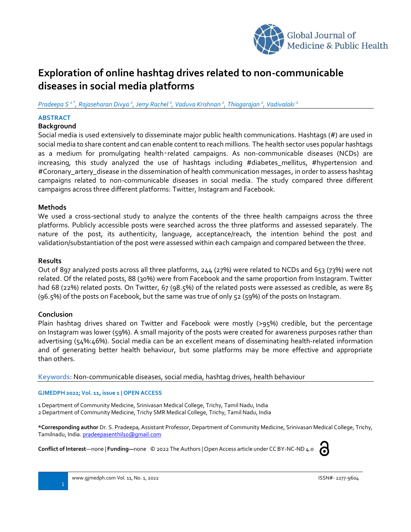

# **Expl0ration of online hashtag drives related to non-communicable diseases in social media platforms**

*Pradeepa S 1 \* , Rajaseharan Divya <sup>2</sup> , Jerry Rachel <sup>1</sup> , Vaduva Krishnan <sup>2</sup> , Thiagarajan <sup>2</sup> , Vadivalaki <sup>2</sup>*

## **ABSTRACT**

## **Background**

Social media is used extensively to disseminate major public health communications. Hashtags (#) are used in social media to share content and can enable content to reach millions. The health sector uses popular hashtags as a medium for promulgating health-related campaigns. As non-communicable diseases (NCDs) are increasing, this study analyzed the use of hashtags including #diabetes\_mellitus, #hypertension and #Coronary artery disease in the dissemination of health communication messages, in order to assess hashtag campaigns related to non-communicable diseases in social media. The study compared three different campaigns across three different platforms: Twitter, Instagram and Facebook.

## **Methods**

We used a cross-sectional study to analyze the contents of the three health campaigns across the three platforms. Publicly accessible posts were searched across the three platforms and assessed separately. The nature of the post, its authenticity, language, acceptance/reach, the intention behind the post and validation/substantiation of the post were assessed within each campaign and compared between the three.

## **Results**

Out of 897 analyzed posts across all three platforms, 244 (27%) were related to NCDs and 653 (73%) were not related. Of the related posts, 88 (30%) were from Facebook and the same proportion from Instagram. Twitter had 68 (22%) related posts. On Twitter, 67 (98.5%) of the related posts were assessed as credible, as were 85 (96.5%) of the posts on Facebook, but the same was true of only 52 (59%) of the posts on Instagram.

## **Conclusion**

Plain hashtag drives shared on Twitter and Facebook were mostly (>95%) credible, but the percentage on Instagram was lower (59%). A small majority of the posts were created for awareness purposes rather than advertising (54%:46%). Social media can be an excellent means of disseminating health-related information and of generating better health behaviour, but some platforms may be more effective and appropriate than others.

**Keywords:** Non-communicable diseases, social media, hashtag drives, health behaviour

### **GJMEDPH 2022; Vol. 11, issue 1 | OPEN ACCESS**

1 Department of Community Medicine, Srinivasan Medical College, Trichy, Tamil Nadu, India 2 Department of Community Medicine, Trichy SMR Medical College, Trichy, Tamil Nadu, India

**\*Corresponding author** Dr. S. Pradeepa, Assistant Professor, Department of Community Medicine, Srinivasan Medical College, Trichy, Tamilnadu, India. [pradeepasenthil10@gmail.com](mailto:pradeepasenthil10@gmail.com)

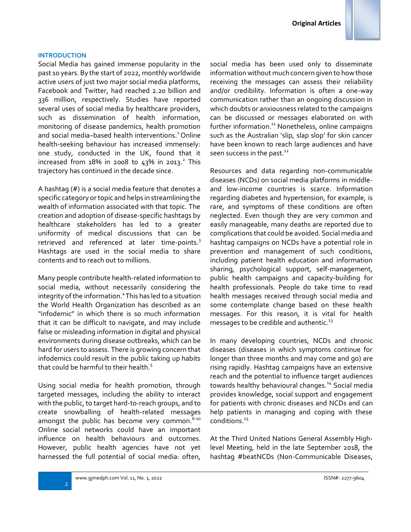#### **INTRODUCTION**

Social Media has gained immense popularity in the past 10 years. By the start of 2022, monthly worldwide active users of just two major social media platforms, Facebook and Twitter, had reached 2.20 billion and 336 million, respectively. Studies have reported several uses of social media by healthcare providers, such as dissemination of health information, monitoring of disease pandemics, health promotion and social media–based health interventions.<sup>1</sup> Online health-seeking behaviour has increased immensely: one study, conducted in the UK, found that it increased from 18% in 2008 to 43% in 2013.<sup>2</sup> This trajectory has continued in the decade since.

A hashtag (#) is a social media feature that denotes a specific category or topic and helps in streamlining the wealth of information associated with that topic. The creation and adoption of disease-specific hashtags by healthcare stakeholders has led to a greater uniformity of medical discussions that can be retrieved and referenced at later time-points.<sup>3</sup> Hashtags are used in the social media to share contents and to reach out to millions.

Many people contribute health-related information to social media, without necessarily considering the integrity of the information.<sup>4</sup> This has led to a situation the World Health Organization has described as an "infodemic" in which there is so much information that it can be difficult to navigate, and may include false or misleading information in digital and physical environments during disease outbreaks, which can be hard for users to assess. There is growing concern that infodemics could result in the public taking up habits that could be harmful to their health.<sup>5</sup>

Using social media for health promotion, through targeted messages, including the ability to interact with the public, to target hard-to-reach groups, and to create snowballing of health-related messages amongst the public has become very common.  $6-10$ Online social networks could have an important influence on health behaviours and outcomes. However, public health agencies have not yet harnessed the full potential of social media: often, social media has been used only to disseminate information without much concern given to how those receiving the messages can assess their reliability and/or credibility. Information is often a one-way communication rather than an ongoing discussion in which doubts or anxiousness related to the campaigns can be discussed or messages elaborated on with further information. <sup>11</sup> Nonetheless, online campaigns such as the Australian 'slip, slap slop' for skin cancer have been known to reach large audiences and have seen success in the past.<sup>12</sup>

Resources and data regarding non-communicable diseases (NCDs) on social media platforms in middleand low-income countries is scarce. Information regarding diabetes and hypertension, for example, is rare, and symptoms of these conditions are often neglected. Even though they are very common and easily manageable, many deaths are reported due to complications that could be avoided. Social media and hashtag campaigns on NCDs have a potential role in prevention and management of such conditions, including patient health education and information sharing, psychological support, self-management, public health campaigns and capacity-building for health professionals. People do take time to read health messages received through social media and some contemplate change based on these health messages. For this reason, it is vital for health messages to be credible and authentic. $^{13}$ 

In many developing countries, NCDs and chronic diseases (diseases in which symptoms continue for longer than three months and may come and go) are rising rapidly. Hashtag campaigns have an extensive reach and the potential to influence target audiences towards healthy behavioural changes.<sup>14</sup> Social media provides knowledge, social support and engagement for patients with chronic diseases and NCDs and can help patients in managing and coping with these conditions.<sup>15</sup>

At the Third United Nations General Assembly Highlevel Meeting, held in the late September 2018, the hashtag #beatNCDs (Non-Communicable Diseases,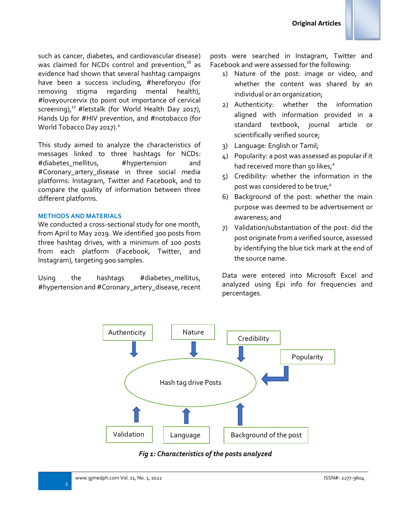such as cancer, diabetes, and cardiovascular disease) was claimed for NCDs control and prevention, $16$  as evidence had shown that several hashtag campaigns have been a success including, #hereforyou (for removing stigma regarding mental health), #loveyourcervix (to point out importance of cervical screening), $^{17}$  #letstalk (for World Health Day 2017), Hands Up for #HIV prevention, and #notobacco (for World Tobacco Day 2017).<sup>4</sup>

This study aimed to analyze the characteristics of messages linked to three hashtags for NCDs: #diabetes\_mellitus, #hypertension and #Coronary\_artery\_disease in three social media platforms: Instagram, Twitter and Facebook, and to compare the quality of information between three different platforms.

#### **METHODS AND MATERIALS**

We conducted a cross-sectional study for one month, from April to May 2019. We identified 300 posts from three hashtag drives, with a minimum of 100 posts from each platform (Facebook, Twitter, and Instagram), targeting 900 samples.

Using the hashtags #diabetes\_mellitus, #hypertension and #Coronary\_artery\_disease, recent posts were searched in Instagram, Twitter and Facebook and were assessed for the following:

- 1) Nature of the post: image or video, and whether the content was shared by an individual or an organization;
- 2) Authenticity: whether the information aligned with information provided in a standard textbook, journal article or scientifically verified source;
- 3) Language: English or Tamil;
- 4) Popularity: a post was assessed as popular if it had received more than 50 likes;<sup>4</sup>
- 5) Credibility: whether the information in the post was considered to be true;<sup>4</sup>
- 6) Background of the post: whether the main purpose was deemed to be advertisement or awareness; and
- 7) Validation/substantiation of the post: did the post originate from a verified source, assessed by identifying the blue tick mark at the end of the source name.

Data were entered into Microsoft Excel and analyzed using Epi info for frequencies and percentages.



*Fig 1: Characteristics of the posts analyzed*

3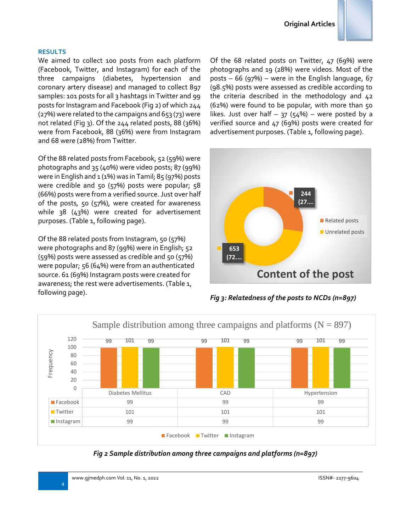

### **RESULTS**

We aimed to collect 100 posts from each platform (Facebook, Twitter, and Instagram) for each of the three campaigns (diabetes, hypertension and coronary artery disease) and managed to collect 897 samples: 101 posts for all 3 hashtags in Twitter and 99 posts for Instagram and Facebook (Fig 2) of which 244 (27%) were related to the campaigns and 653 (73) were not related (Fig 3). Of the  $244$  related posts, 88 (36%) were from Facebook, 88 (36%) were from Instagram and 68 were (28%) from Twitter.

Of the 88 related posts from Facebook, 52 (59%) were photographs and 35 (40%) were video posts; 87 (99%) were in English and  $1 (1%)$  was in Tamil; 85 (97%) posts were credible and 50 (57%) posts were popular; 58 (66%) posts were from a verified source. Just over half of the posts, 50 (57%), were created for awareness while 38 (43%) were created for advertisement purposes. (Table 1, following page).

Of the 88 related posts from Instagram, 50 (57%) were photographs and 87 (99%) were in English; 52 (59%) posts were assessed as credible and 50 (57%) were popular; 56 (64%) were from an authenticated source. 61 (69%) Instagram posts were created for awareness; the rest were advertisements. (Table 1, following page).

Of the 68 related posts on Twitter, 47 (69%) were photographs and 19 (28%) were videos. Most of the posts – 66 (97%) – were in the English language, 67 (98.5%) posts were assessed as credible according to the criteria described in the methodology and 42 (62%) were found to be popular, with more than 50 likes. Just over half  $-$  37 (54%) – were posted by a verified source and 47 (69%) posts were created for advertisement purposes. (Table 1, following page).



*Fig 3: Relatedness of the posts to NCDs (n=897)*



*Fig 2 Sample distribution among three campaigns and platforms (n=897)*

4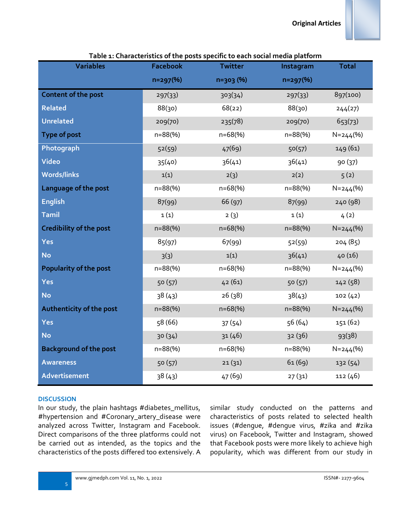| :les |  |  |
|------|--|--|
|      |  |  |

| <b>Variables</b>               | <b>Facebook</b> | naracteristics of the posts specific to each social incala<br><b>Twitter</b> | Instagram    | <b>Total</b> |
|--------------------------------|-----------------|------------------------------------------------------------------------------|--------------|--------------|
|                                | $n=297$ (%)     | $n=303(%)$                                                                   | $n=297$ (%)  |              |
| <b>Content of the post</b>     | 297(33)         | 303(34)                                                                      | 297(33)      | 897(100)     |
| <b>Related</b>                 | 88(30)          | 68(22)                                                                       | 88(30)       | 244(27)      |
| <b>Unrelated</b>               | 209(70)         | 235(78)                                                                      | 209(70)      | 653(73)      |
| <b>Type of post</b>            | $n = 88(%)$     | n=68(%)                                                                      | $n = 88$ (%) | $N = 244(%)$ |
| Photograph                     | 52(59)          | 47(69)                                                                       | 50(57)       | 149 (61)     |
| Video                          | 35(40)          | 36(41)                                                                       | 36(41)       | 90 (37)      |
| <b>Words/links</b>             | 1(1)            | 2(3)                                                                         | 2(2)         | 5(2)         |
| Language of the post           | $n = 88(%)$     | $n = 68(%)$                                                                  | $n = 88(%)$  | $N = 244(%)$ |
| <b>English</b>                 | 87(99)          | 66 (97)                                                                      | 87(99)       | 240 (98)     |
| <b>Tamil</b>                   | 1(1)            | 2(3)                                                                         | 1(1)         | 4(2)         |
| <b>Credibility of the post</b> | $n = 88(%)$     | $n = 68(%)$                                                                  | $n = 88$ (%) | $N = 244(%)$ |
| Yes                            | 85(97)          | 67(99)                                                                       | 52(59)       | 204 (85)     |
| <b>No</b>                      | 3(3)            | 1(1)                                                                         | 36(41)       | 40(16)       |
| <b>Popularity of the post</b>  | $n = 88(%)$     | $n = 68(%)$                                                                  | $n = 88$ (%) | $N = 244(%)$ |
| <b>Yes</b>                     | 50 (57)         | 42(61)                                                                       | 50(57)       | 142 (58)     |
| <b>No</b>                      | 38(43)          | 26(38)                                                                       | 38(43)       | 102(42)      |
| Authenticity of the post       | $n = 88(%)$     | $n = 68(%)$                                                                  | $n = 88(%)$  | $N = 244(%)$ |
| <b>Yes</b>                     | 58 (66)         | 37(54)                                                                       | 56(64)       | 151 (62)     |
| <b>No</b>                      | 30(34)          | 31(46)                                                                       | 32(36)       | 93(38)       |
| <b>Background of the post</b>  | $n = 88(%)$     | $n = 68(%)$                                                                  | $n = 88$ (%) | $N = 244(%)$ |
| <b>Awareness</b>               | 50(57)          | 21(31)                                                                       | 61(69)       | 132 (54)     |
| Advertisement                  | 38(43)          | 47 (69)                                                                      | 27(31)       | 112(46)      |

**Table 1: Characteristics of the posts specific to each social media platform**

### **DISCUSSION**

In our study, the plain hashtags #diabetes\_mellitus, #hypertension and #Coronary\_artery\_disease were analyzed across Twitter, Instagram and Facebook. Direct comparisons of the three platforms could not be carried out as intended, as the topics and the characteristics of the posts differed too extensively. A similar study conducted on the patterns and characteristics of posts related to selected health issues (#dengue, #dengue virus, #zika and #zika virus) on Facebook, Twitter and Instagram, showed that Facebook posts were more likely to achieve high popularity, which was different from our study in

5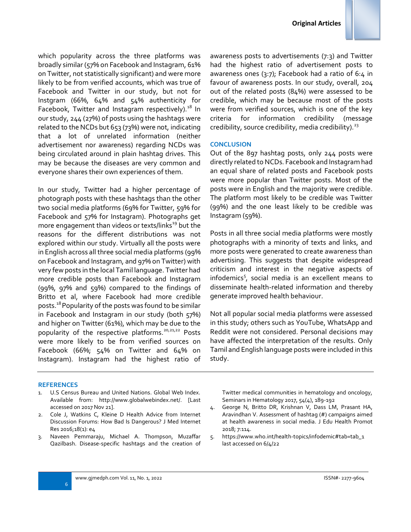

In our study, Twitter had a higher percentage of photograph posts with these hashtags than the other two social media platforms (69% for Twitter, 59% for Facebook and 57% for Instagram). Photographs get more engagement than videos or texts/links<sup>19</sup> but the reasons for the different distributions was not explored within our study. Virtually all the posts were in English across all three social media platforms (99% on Facebook and Instagram, and 97% on Twitter) with very few posts in the local Tamil language. Twitter had more credible posts than Facebook and Instagram (99%, 97% and 59%) compared to the findings of Britto et al, where Facebook had more credible posts.<sup>18</sup> Popularity of the posts was found to be similar in Facebook and Instagram in our study (both 57%) and higher on Twitter (61%), which may be due to the popularity of the respective platforms.<sup>20,21,22</sup> Posts were more likely to be from verified sources on Facebook (66%; 54% on Twitter and 64% on Instagram). Instagram had the highest ratio of awareness posts to advertisements (7:3) and Twitter had the highest ratio of advertisement posts to awareness ones (3:7); Facebook had a ratio of 6:4 in favour of awareness posts. In our study, overall, 204 out of the related posts (84%) were assessed to be credible, which may be because most of the posts were from verified sources, which is one of the key criteria for information credibility (message credibility, source credibility, media credibility).  $23$ 

### **CONCLUSION**

Out of the 897 hashtag posts, only 244 posts were directly related to NCDs. Facebook and Instagram had an equal share of related posts and Facebook posts were more popular than Twitter posts. Most of the posts were in English and the majority were credible. The platform most likely to be credible was Twitter (99%) and the one least likely to be credible was Instagram (59%).

Posts in all three social media platforms were mostly photographs with a minority of texts and links, and more posts were generated to create awareness than advertising. This suggests that despite widespread criticism and interest in the negative aspects of infodemics<sup>5</sup>, social media is an excellent means to disseminate health-related information and thereby generate improved health behaviour.

Not all popular social media platforms were assessed in this study; others such as YouTube, WhatsApp and Reddit were not considered. Personal decisions may have affected the interpretation of the results. Only Tamil and English language posts were included in this study.

#### **REFERENCES**

- 1. U.S Census Bureau and United Nations. Global Web Index. Available from: http://www.globalwebindex.net/. [Last accessed on 2017 Nov 21].
- 2. Cole J, Watkins C, Kleine D Health Advice from Internet Discussion Forums: How Bad Is Dangerous? J Med Internet Res 2016;18(1): e4
- 3. Naveen Pemmaraju, Michael A. Thompson, Muzaffar Qazilbash. Disease-specific hashtags and the creation of

Twitter medical communities in hematology and oncology, Seminars in Hematology 2017, 54(4), 189-192

- 4. George N, Britto DR, Krishnan V, Dass LM, Prasant HA, Aravindhan V. Assessment of hashtag (#) campaigns aimed at health awareness in social media. J Edu Health Promot 2018; 7:114.
- 5. https://www.who.int/health-topics/infodemic#tab=tab\_1 last accessed on 6/4/22